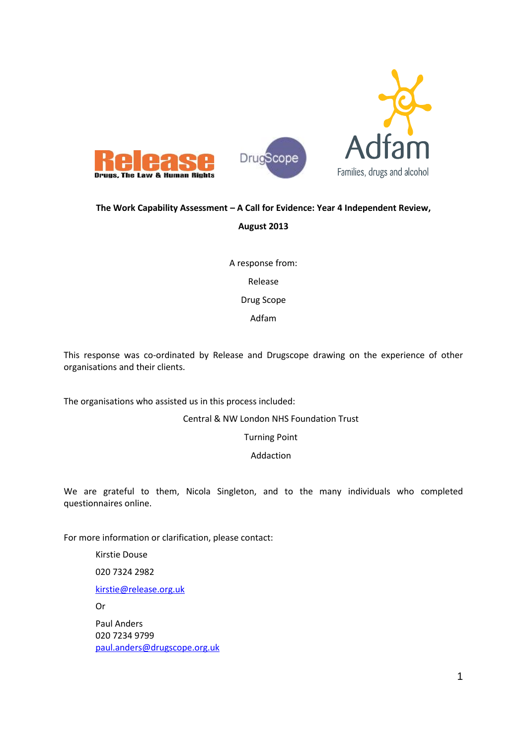

### **The Work Capability Assessment – A Call for Evidence: Year 4 Independent Review,**

### **August 2013**

A response from: Release Drug Scope Adfam

This response was co-ordinated by Release and Drugscope drawing on the experience of other organisations and their clients.

The organisations who assisted us in this process included:

Central & NW London NHS Foundation Trust

Turning Point

Addaction

We are grateful to them, Nicola Singleton, and to the many individuals who completed questionnaires online.

For more information or clarification, please contact:

Kirstie Douse

020 7324 2982

kirstie@release.org.uk

Or

Paul Anders 020 7234 9799 paul.anders@drugscope.org.uk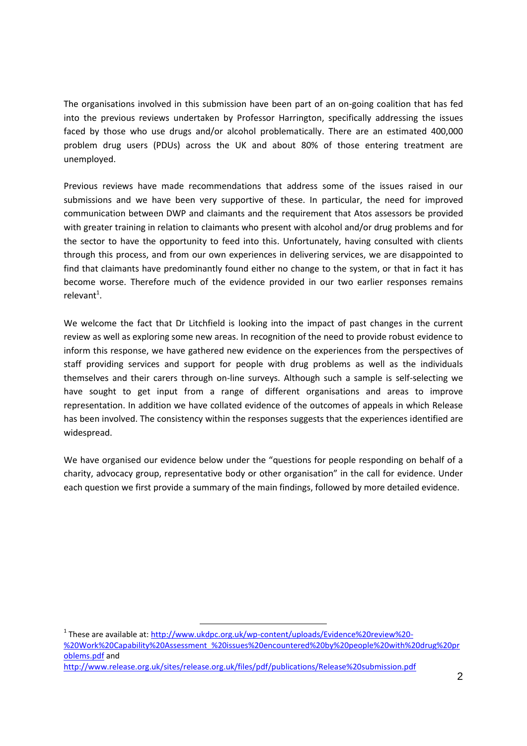The organisations involved in this submission have been part of an on-going coalition that has fed into the previous reviews undertaken by Professor Harrington, specifically addressing the issues faced by those who use drugs and/or alcohol problematically. There are an estimated 400,000 problem drug users (PDUs) across the UK and about 80% of those entering treatment are unemployed.

Previous reviews have made recommendations that address some of the issues raised in our submissions and we have been very supportive of these. In particular, the need for improved communication between DWP and claimants and the requirement that Atos assessors be provided with greater training in relation to claimants who present with alcohol and/or drug problems and for the sector to have the opportunity to feed into this. Unfortunately, having consulted with clients through this process, and from our own experiences in delivering services, we are disappointed to find that claimants have predominantly found either no change to the system, or that in fact it has become worse. Therefore much of the evidence provided in our two earlier responses remains relevant<sup>1</sup>.

We welcome the fact that Dr Litchfield is looking into the impact of past changes in the current review as well as exploring some new areas. In recognition of the need to provide robust evidence to inform this response, we have gathered new evidence on the experiences from the perspectives of staff providing services and support for people with drug problems as well as the individuals themselves and their carers through on-line surveys. Although such a sample is self-selecting we have sought to get input from a range of different organisations and areas to improve representation. In addition we have collated evidence of the outcomes of appeals in which Release has been involved. The consistency within the responses suggests that the experiences identified are widespread.

We have organised our evidence below under the "questions for people responding on behalf of a charity, advocacy group, representative body or other organisation" in the call for evidence. Under each question we first provide a summary of the main findings, followed by more detailed evidence.

<sup>1</sup> These are available at: http://www.ukdpc.org.uk/wp-content/uploads/Evidence%20review%20- %20Work%20Capability%20Assessment\_%20issues%20encountered%20by%20people%20with%20drug%20pr oblems.pdf and http://www.release.org.uk/sites/release.org.uk/files/pdf/publications/Release%20submission.pdf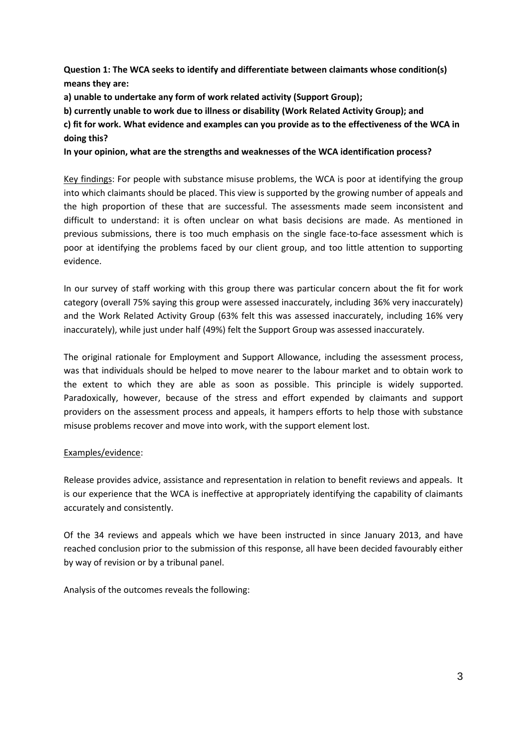**Question 1: The WCA seeks to identify and differentiate between claimants whose condition(s) means they are:**

**a) unable to undertake any form of work related activity (Support Group);**

**b) currently unable to work due to illness or disability (Work Related Activity Group); and**

**c) fit for work. What evidence and examples can you provide as to the effectiveness of the WCA in doing this?**

**In your opinion, what are the strengths and weaknesses of the WCA identification process?**

Key findings: For people with substance misuse problems, the WCA is poor at identifying the group into which claimants should be placed. This view is supported by the growing number of appeals and the high proportion of these that are successful. The assessments made seem inconsistent and difficult to understand: it is often unclear on what basis decisions are made. As mentioned in previous submissions, there is too much emphasis on the single face-to-face assessment which is poor at identifying the problems faced by our client group, and too little attention to supporting evidence.

In our survey of staff working with this group there was particular concern about the fit for work category (overall 75% saying this group were assessed inaccurately, including 36% very inaccurately) and the Work Related Activity Group (63% felt this was assessed inaccurately, including 16% very inaccurately), while just under half (49%) felt the Support Group was assessed inaccurately.

The original rationale for Employment and Support Allowance, including the assessment process, was that individuals should be helped to move nearer to the labour market and to obtain work to the extent to which they are able as soon as possible. This principle is widely supported. Paradoxically, however, because of the stress and effort expended by claimants and support providers on the assessment process and appeals, it hampers efforts to help those with substance misuse problems recover and move into work, with the support element lost.

### Examples/evidence:

Release provides advice, assistance and representation in relation to benefit reviews and appeals. It is our experience that the WCA is ineffective at appropriately identifying the capability of claimants accurately and consistently.

Of the 34 reviews and appeals which we have been instructed in since January 2013, and have reached conclusion prior to the submission of this response, all have been decided favourably either by way of revision or by a tribunal panel.

Analysis of the outcomes reveals the following: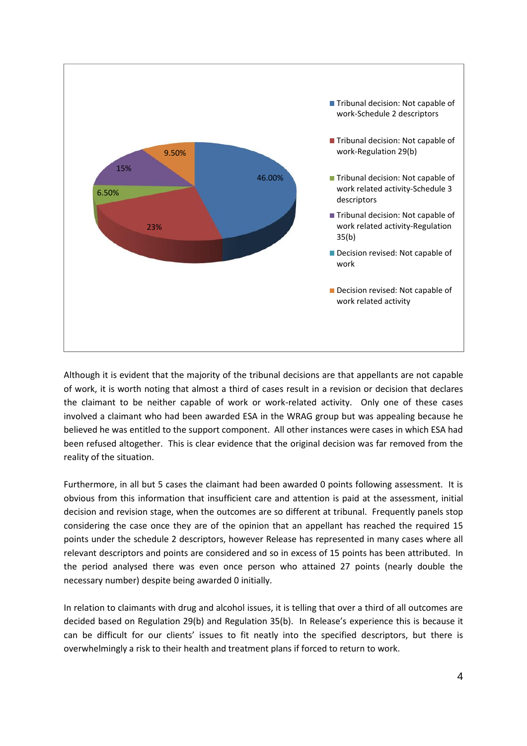

Although it is evident that the majority of the tribunal decisions are that appellants are not capable of work, it is worth noting that almost a third of cases result in a revision or decision that declares the claimant to be neither capable of work or work-related activity. Only one of these cases involved a claimant who had been awarded ESA in the WRAG group but was appealing because he believed he was entitled to the support component. All other instances were cases in which ESA had been refused altogether. This is clear evidence that the original decision was far removed from the reality of the situation.

Furthermore, in all but 5 cases the claimant had been awarded 0 points following assessment. It is obvious from this information that insufficient care and attention is paid at the assessment, initial decision and revision stage, when the outcomes are so different at tribunal. Frequently panels stop considering the case once they are of the opinion that an appellant has reached the required 15 points under the schedule 2 descriptors, however Release has represented in many cases where all relevant descriptors and points are considered and so in excess of 15 points has been attributed. In the period analysed there was even once person who attained 27 points (nearly double the necessary number) despite being awarded 0 initially.

In relation to claimants with drug and alcohol issues, it is telling that over a third of all outcomes are decided based on Regulation 29(b) and Regulation 35(b). In Release's experience this is because it can be difficult for our clients' issues to fit neatly into the specified descriptors, but there is overwhelmingly a risk to their health and treatment plans if forced to return to work.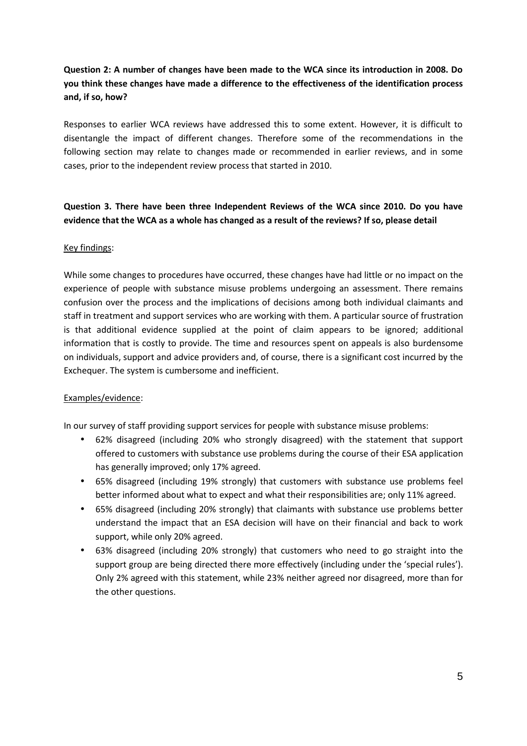## **Question 2: A number of changes have been made to the WCA since its introduction in 2008. Do you think these changes have made a difference to the effectiveness of the identification process and, if so, how?**

Responses to earlier WCA reviews have addressed this to some extent. However, it is difficult to disentangle the impact of different changes. Therefore some of the recommendations in the following section may relate to changes made or recommended in earlier reviews, and in some cases, prior to the independent review process that started in 2010.

### **Question 3. There have been three Independent Reviews of the WCA since 2010. Do you have evidence that the WCA as a whole has changed as a result of the reviews? If so, please detail**

### Key findings:

While some changes to procedures have occurred, these changes have had little or no impact on the experience of people with substance misuse problems undergoing an assessment. There remains confusion over the process and the implications of decisions among both individual claimants and staff in treatment and support services who are working with them. A particular source of frustration is that additional evidence supplied at the point of claim appears to be ignored; additional information that is costly to provide. The time and resources spent on appeals is also burdensome on individuals, support and advice providers and, of course, there is a significant cost incurred by the Exchequer. The system is cumbersome and inefficient.

### Examples/evidence:

In our survey of staff providing support services for people with substance misuse problems:

- 62% disagreed (including 20% who strongly disagreed) with the statement that support offered to customers with substance use problems during the course of their ESA application has generally improved; only 17% agreed.
- 65% disagreed (including 19% strongly) that customers with substance use problems feel better informed about what to expect and what their responsibilities are; only 11% agreed.
- 65% disagreed (including 20% strongly) that claimants with substance use problems better understand the impact that an ESA decision will have on their financial and back to work support, while only 20% agreed.
- 63% disagreed (including 20% strongly) that customers who need to go straight into the support group are being directed there more effectively (including under the 'special rules'). Only 2% agreed with this statement, while 23% neither agreed nor disagreed, more than for the other questions.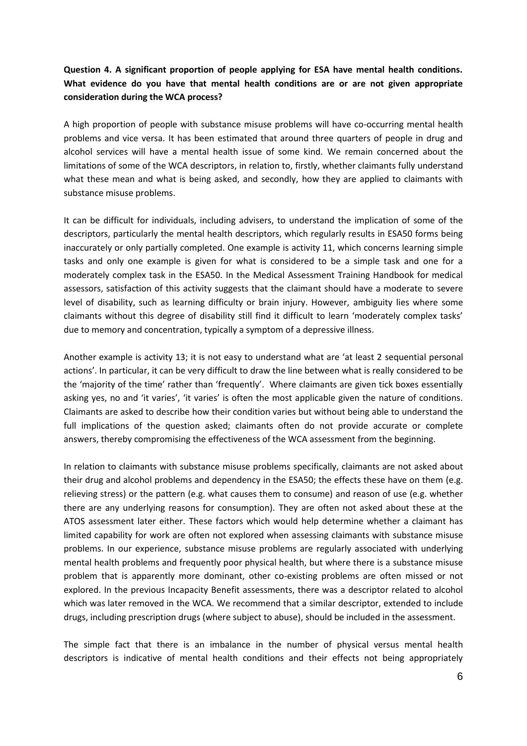## **Question 4. A significant proportion of people applying for ESA have mental health conditions. What evidence do you have that mental health conditions are or are not given appropriate consideration during the WCA process?**

A high proportion of people with substance misuse problems will have co-occurring mental health problems and vice versa. It has been estimated that around three quarters of people in drug and alcohol services will have a mental health issue of some kind. We remain concerned about the limitations of some of the WCA descriptors, in relation to, firstly, whether claimants fully understand what these mean and what is being asked, and secondly, how they are applied to claimants with substance misuse problems.

It can be difficult for individuals, including advisers, to understand the implication of some of the descriptors, particularly the mental health descriptors, which regularly results in ESA50 forms being inaccurately or only partially completed. One example is activity 11, which concerns learning simple tasks and only one example is given for what is considered to be a simple task and one for a moderately complex task in the ESA50. In the Medical Assessment Training Handbook for medical assessors, satisfaction of this activity suggests that the claimant should have a moderate to severe level of disability, such as learning difficulty or brain injury. However, ambiguity lies where some claimants without this degree of disability still find it difficult to learn 'moderately complex tasks' due to memory and concentration, typically a symptom of a depressive illness.

Another example is activity 13; it is not easy to understand what are 'at least 2 sequential personal actions'. In particular, it can be very difficult to draw the line between what is really considered to be the 'majority of the time' rather than 'frequently'. Where claimants are given tick boxes essentially asking yes, no and 'it varies', 'it varies' is often the most applicable given the nature of conditions. Claimants are asked to describe how their condition varies but without being able to understand the full implications of the question asked; claimants often do not provide accurate or complete answers, thereby compromising the effectiveness of the WCA assessment from the beginning.

In relation to claimants with substance misuse problems specifically, claimants are not asked about their drug and alcohol problems and dependency in the ESA50; the effects these have on them (e.g. relieving stress) or the pattern (e.g. what causes them to consume) and reason of use (e.g. whether there are any underlying reasons for consumption). They are often not asked about these at the ATOS assessment later either. These factors which would help determine whether a claimant has limited capability for work are often not explored when assessing claimants with substance misuse problems. In our experience, substance misuse problems are regularly associated with underlying mental health problems and frequently poor physical health, but where there is a substance misuse problem that is apparently more dominant, other co-existing problems are often missed or not explored. In the previous Incapacity Benefit assessments, there was a descriptor related to alcohol which was later removed in the WCA. We recommend that a similar descriptor, extended to include drugs, including prescription drugs (where subject to abuse), should be included in the assessment.

The simple fact that there is an imbalance in the number of physical versus mental health descriptors is indicative of mental health conditions and their effects not being appropriately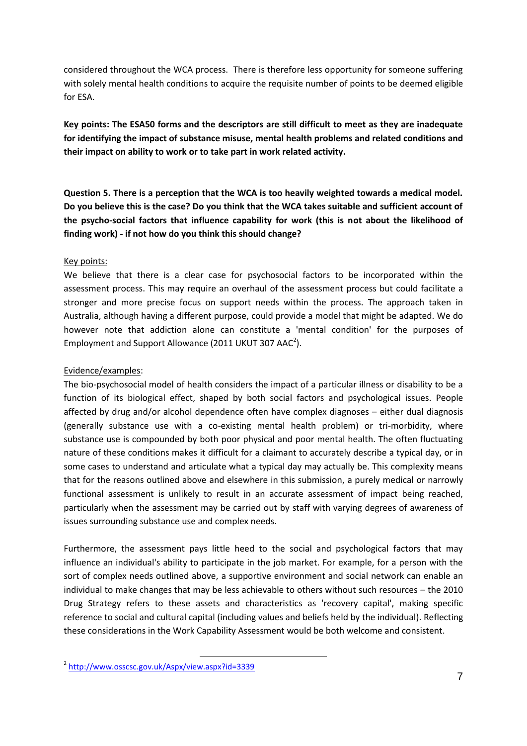considered throughout the WCA process. There is therefore less opportunity for someone suffering with solely mental health conditions to acquire the requisite number of points to be deemed eligible for ESA.

**Key points: The ESA50 forms and the descriptors are still difficult to meet as they are inadequate for identifying the impact of substance misuse, mental health problems and related conditions and their impact on ability to work or to take part in work related activity.**

**Question 5. There is a perception that the WCA is too heavily weighted towards a medical model. Do you believe this is the case? Do you think that the WCA takes suitable and sufficient account of the psycho-social factors that influence capability for work (this is not about the likelihood of finding work) - if not how do you think this should change?**

### Key points:

We believe that there is a clear case for psychosocial factors to be incorporated within the assessment process. This may require an overhaul of the assessment process but could facilitate a stronger and more precise focus on support needs within the process. The approach taken in Australia, although having a different purpose, could provide a model that might be adapted. We do however note that addiction alone can constitute a 'mental condition' for the purposes of Employment and Support Allowance (2011 UKUT 307 AAC<sup>2</sup>).

### Evidence/examples:

The bio-psychosocial model of health considers the impact of a particular illness or disability to be a function of its biological effect, shaped by both social factors and psychological issues. People affected by drug and/or alcohol dependence often have complex diagnoses – either dual diagnosis (generally substance use with a co-existing mental health problem) or tri-morbidity, where substance use is compounded by both poor physical and poor mental health. The often fluctuating nature of these conditions makes it difficult for a claimant to accurately describe a typical day, or in some cases to understand and articulate what a typical day may actually be. This complexity means that for the reasons outlined above and elsewhere in this submission, a purely medical or narrowly functional assessment is unlikely to result in an accurate assessment of impact being reached, particularly when the assessment may be carried out by staff with varying degrees of awareness of issues surrounding substance use and complex needs.

Furthermore, the assessment pays little heed to the social and psychological factors that may influence an individual's ability to participate in the job market. For example, for a person with the sort of complex needs outlined above, a supportive environment and social network can enable an individual to make changes that may be less achievable to others without such resources – the 2010 Drug Strategy refers to these assets and characteristics as 'recovery capital', making specific reference to social and cultural capital (including values and beliefs held by the individual). Reflecting these considerations in the Work Capability Assessment would be both welcome and consistent.

<sup>2</sup> http://www.osscsc.gov.uk/Aspx/view.aspx?id=3339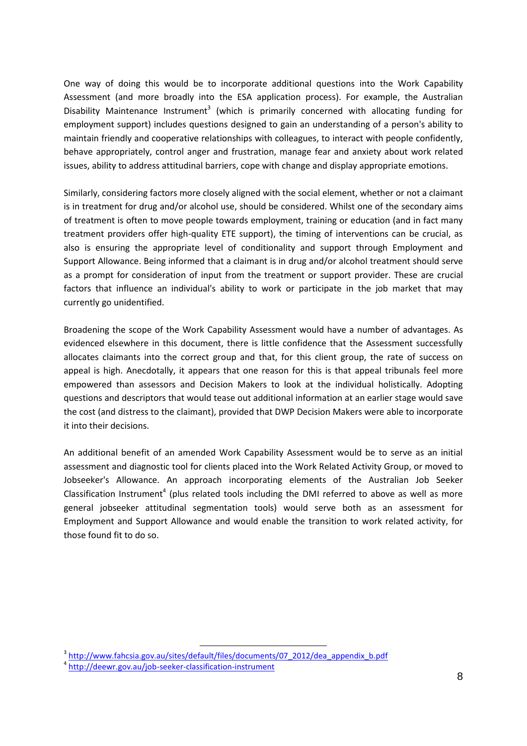One way of doing this would be to incorporate additional questions into the Work Capability Assessment (and more broadly into the ESA application process). For example, the Australian Disability Maintenance Instrument<sup>3</sup> (which is primarily concerned with allocating funding for employment support) includes questions designed to gain an understanding of a person's ability to maintain friendly and cooperative relationships with colleagues, to interact with people confidently, behave appropriately, control anger and frustration, manage fear and anxiety about work related issues, ability to address attitudinal barriers, cope with change and display appropriate emotions.

Similarly, considering factors more closely aligned with the social element, whether or not a claimant is in treatment for drug and/or alcohol use, should be considered. Whilst one of the secondary aims of treatment is often to move people towards employment, training or education (and in fact many treatment providers offer high-quality ETE support), the timing of interventions can be crucial, as also is ensuring the appropriate level of conditionality and support through Employment and Support Allowance. Being informed that a claimant is in drug and/or alcohol treatment should serve as a prompt for consideration of input from the treatment or support provider. These are crucial factors that influence an individual's ability to work or participate in the job market that may currently go unidentified.

Broadening the scope of the Work Capability Assessment would have a number of advantages. As evidenced elsewhere in this document, there is little confidence that the Assessment successfully allocates claimants into the correct group and that, for this client group, the rate of success on appeal is high. Anecdotally, it appears that one reason for this is that appeal tribunals feel more empowered than assessors and Decision Makers to look at the individual holistically. Adopting questions and descriptors that would tease out additional information at an earlier stage would save the cost (and distress to the claimant), provided that DWP Decision Makers were able to incorporate it into their decisions.

An additional benefit of an amended Work Capability Assessment would be to serve as an initial assessment and diagnostic tool for clients placed into the Work Related Activity Group, or moved to Jobseeker's Allowance. An approach incorporating elements of the Australian Job Seeker Classification Instrument<sup>4</sup> (plus related tools including the DMI referred to above as well as more general jobseeker attitudinal segmentation tools) would serve both as an assessment for Employment and Support Allowance and would enable the transition to work related activity, for those found fit to do so.

<sup>&</sup>lt;sup>3</sup> http://www.fahcsia.gov.au/sites/default/files/documents/07\_2012/dea\_appendix\_b.pdf 4 http://deewr.gov.au/job-seeker-classification-instrument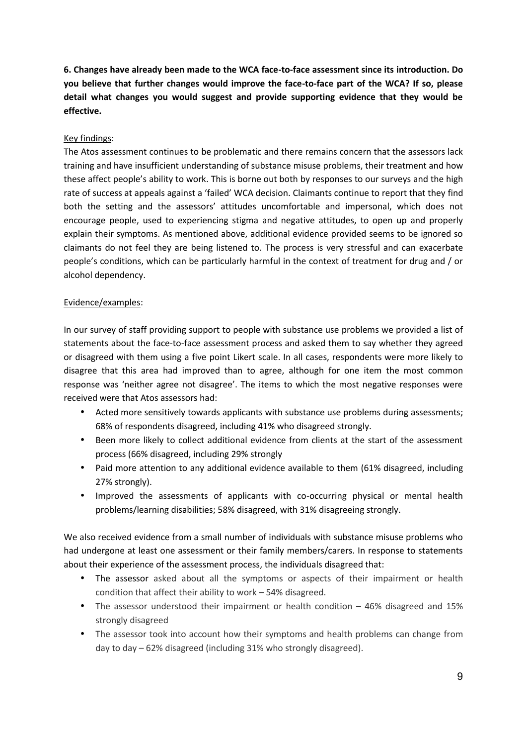**6. Changes have already been made to the WCA face-to-face assessment since its introduction. Do you believe that further changes would improve the face-to-face part of the WCA? If so, please detail what changes you would suggest and provide supporting evidence that they would be effective.**

### Key findings:

The Atos assessment continues to be problematic and there remains concern that the assessors lack training and have insufficient understanding of substance misuse problems, their treatment and how these affect people's ability to work. This is borne out both by responses to our surveys and the high rate of success at appeals against a 'failed' WCA decision. Claimants continue to report that they find both the setting and the assessors' attitudes uncomfortable and impersonal, which does not encourage people, used to experiencing stigma and negative attitudes, to open up and properly explain their symptoms. As mentioned above, additional evidence provided seems to be ignored so claimants do not feel they are being listened to. The process is very stressful and can exacerbate people's conditions, which can be particularly harmful in the context of treatment for drug and / or alcohol dependency.

### Evidence/examples:

In our survey of staff providing support to people with substance use problems we provided a list of statements about the face-to-face assessment process and asked them to say whether they agreed or disagreed with them using a five point Likert scale. In all cases, respondents were more likely to disagree that this area had improved than to agree, although for one item the most common response was 'neither agree not disagree'. The items to which the most negative responses were received were that Atos assessors had:

- Acted more sensitively towards applicants with substance use problems during assessments; 68% of respondents disagreed, including 41% who disagreed strongly.
- Been more likely to collect additional evidence from clients at the start of the assessment process (66% disagreed, including 29% strongly
- Paid more attention to any additional evidence available to them (61% disagreed, including 27% strongly).
- Improved the assessments of applicants with co-occurring physical or mental health problems/learning disabilities; 58% disagreed, with 31% disagreeing strongly.

We also received evidence from a small number of individuals with substance misuse problems who had undergone at least one assessment or their family members/carers. In response to statements about their experience of the assessment process, the individuals disagreed that:

- The assessor asked about all the symptoms or aspects of their impairment or health condition that affect their ability to work – 54% disagreed.
- The assessor understood their impairment or health condition 46% disagreed and 15% strongly disagreed
- The assessor took into account how their symptoms and health problems can change from day to day – 62% disagreed (including 31% who strongly disagreed).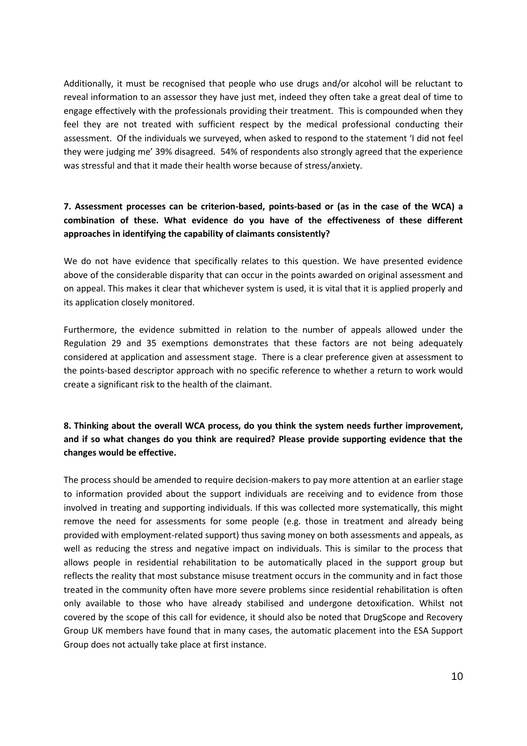Additionally, it must be recognised that people who use drugs and/or alcohol will be reluctant to reveal information to an assessor they have just met, indeed they often take a great deal of time to engage effectively with the professionals providing their treatment. This is compounded when they feel they are not treated with sufficient respect by the medical professional conducting their assessment. Of the individuals we surveyed, when asked to respond to the statement 'I did not feel they were judging me' 39% disagreed. 54% of respondents also strongly agreed that the experience was stressful and that it made their health worse because of stress/anxiety.

## **7. Assessment processes can be criterion-based, points-based or (as in the case of the WCA) a combination of these. What evidence do you have of the effectiveness of these different approaches in identifying the capability of claimants consistently?**

We do not have evidence that specifically relates to this question. We have presented evidence above of the considerable disparity that can occur in the points awarded on original assessment and on appeal. This makes it clear that whichever system is used, it is vital that it is applied properly and its application closely monitored.

Furthermore, the evidence submitted in relation to the number of appeals allowed under the Regulation 29 and 35 exemptions demonstrates that these factors are not being adequately considered at application and assessment stage. There is a clear preference given at assessment to the points-based descriptor approach with no specific reference to whether a return to work would create a significant risk to the health of the claimant.

## **8. Thinking about the overall WCA process, do you think the system needs further improvement, and if so what changes do you think are required? Please provide supporting evidence that the changes would be effective.**

The process should be amended to require decision-makers to pay more attention at an earlier stage to information provided about the support individuals are receiving and to evidence from those involved in treating and supporting individuals. If this was collected more systematically, this might remove the need for assessments for some people (e.g. those in treatment and already being provided with employment-related support) thus saving money on both assessments and appeals, as well as reducing the stress and negative impact on individuals. This is similar to the process that allows people in residential rehabilitation to be automatically placed in the support group but reflects the reality that most substance misuse treatment occurs in the community and in fact those treated in the community often have more severe problems since residential rehabilitation is often only available to those who have already stabilised and undergone detoxification. Whilst not covered by the scope of this call for evidence, it should also be noted that DrugScope and Recovery Group UK members have found that in many cases, the automatic placement into the ESA Support Group does not actually take place at first instance.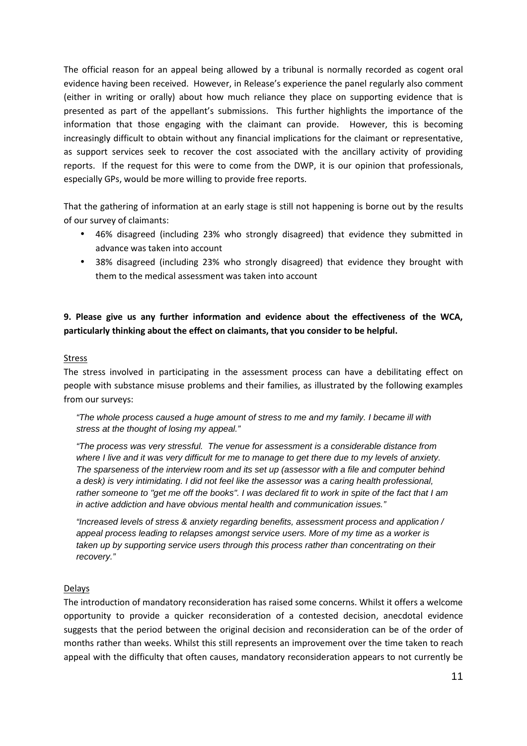The official reason for an appeal being allowed by a tribunal is normally recorded as cogent oral evidence having been received. However, in Release's experience the panel regularly also comment (either in writing or orally) about how much reliance they place on supporting evidence that is presented as part of the appellant's submissions. This further highlights the importance of the information that those engaging with the claimant can provide. However, this is becoming increasingly difficult to obtain without any financial implications for the claimant or representative, as support services seek to recover the cost associated with the ancillary activity of providing reports. If the request for this were to come from the DWP, it is our opinion that professionals, especially GPs, would be more willing to provide free reports.

That the gathering of information at an early stage is still not happening is borne out by the results of our survey of claimants:

- 46% disagreed (including 23% who strongly disagreed) that evidence they submitted in advance was taken into account
- 38% disagreed (including 23% who strongly disagreed) that evidence they brought with them to the medical assessment was taken into account

### **9. Please give us any further information and evidence about the effectiveness of the WCA, particularly thinking about the effect on claimants, that you consider to be helpful.**

#### Stress

The stress involved in participating in the assessment process can have a debilitating effect on people with substance misuse problems and their families, as illustrated by the following examples from our surveys:

*"The whole process caused a huge amount of stress to me and my family. I became ill with stress at the thought of losing my appeal."*

*"The process was very stressful. The venue for assessment is a considerable distance from where I live and it was very difficult for me to manage to get there due to my levels of anxiety. The sparseness of the interview room and its set up (assessor with a file and computer behind a desk) is very intimidating. I did not feel like the assessor was a caring health professional, rather someone to "get me off the books". I was declared fit to work in spite of the fact that I am in active addiction and have obvious mental health and communication issues."*

*"Increased levels of stress & anxiety regarding benefits, assessment process and application / appeal process leading to relapses amongst service users. More of my time as a worker is taken up by supporting service users through this process rather than concentrating on their recovery."*

### Delays

The introduction of mandatory reconsideration has raised some concerns. Whilst it offers a welcome opportunity to provide a quicker reconsideration of a contested decision, anecdotal evidence suggests that the period between the original decision and reconsideration can be of the order of months rather than weeks. Whilst this still represents an improvement over the time taken to reach appeal with the difficulty that often causes, mandatory reconsideration appears to not currently be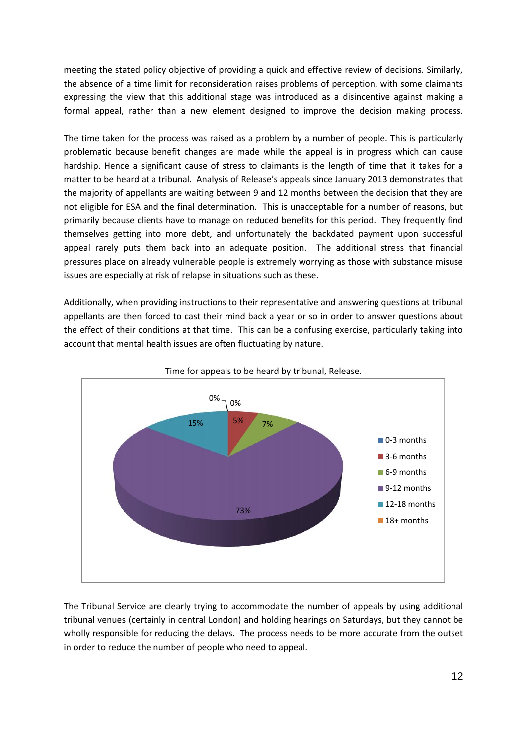meeting the stated policy objective of providing a quick and effective review of decisions. Similarly, the absence of a time limit for reconsideration raises problems of perception, with some claimants expressing the view that this additional stage was introduced as a disincentive against making a formal appeal, rather than a new element designed to improve the decision making process.

The time taken for the process was raised as a problem by a number of people. This is particularly problematic because benefit changes are made while the appeal is in progress which can cause hardship. Hence a significant cause of stress to claimants is the length of time that it takes for a matter to be heard at a tribunal. Analysis of Release's appeals since January 2013 demonstrates that the majority of appellants are waiting between 9 and 12 months between the decision that they are not eligible for ESA and the final determination. This is unacceptable for a number of reasons, but primarily because clients have to manage on reduced benefits for this period. They frequently find themselves getting into more debt, and unfortunately the backdated payment upon successful appeal rarely puts them back into an adequate position. The additional stress that financial pressures place on already vulnerable people is extremely worrying as those with substance misuse issues are especially at risk of relapse in situations such as these.

Additionally, when providing instructions to their representative and answering questions at tribunal appellants are then forced to cast their mind back a year or so in order to answer questions about the effect of their conditions at that time. This can be a confusing exercise, particularly taking into account that mental health issues are often fluctuating by nature.





The Tribunal Service are clearly trying to accommodate the number of appeals by using additional tribunal venues (certainly in central London) and holding hearings on Saturdays, but they cannot be wholly responsible for reducing the delays. The process needs to be more accurate from the outset in order to reduce the number of people who need to appeal.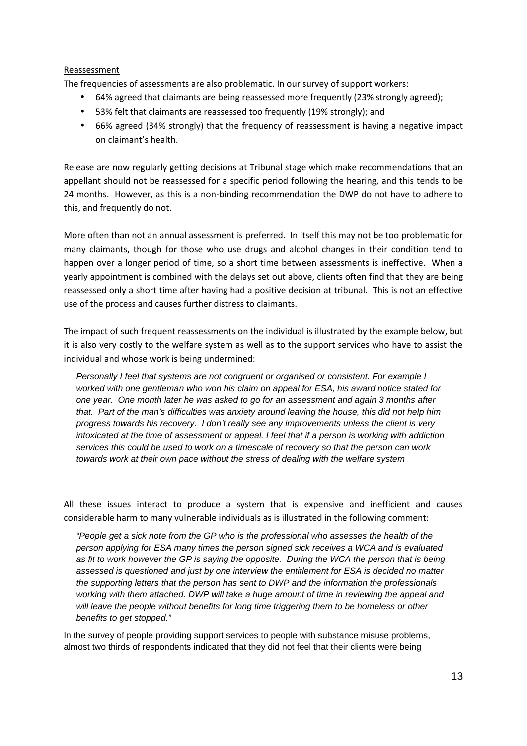### Reassessment

The frequencies of assessments are also problematic. In our survey of support workers:

- 64% agreed that claimants are being reassessed more frequently (23% strongly agreed);
- 53% felt that claimants are reassessed too frequently (19% strongly); and
- 66% agreed (34% strongly) that the frequency of reassessment is having a negative impact on claimant's health.

Release are now regularly getting decisions at Tribunal stage which make recommendations that an appellant should not be reassessed for a specific period following the hearing, and this tends to be 24 months. However, as this is a non-binding recommendation the DWP do not have to adhere to this, and frequently do not.

More often than not an annual assessment is preferred. In itself this may not be too problematic for many claimants, though for those who use drugs and alcohol changes in their condition tend to happen over a longer period of time, so a short time between assessments is ineffective. When a yearly appointment is combined with the delays set out above, clients often find that they are being reassessed only a short time after having had a positive decision at tribunal. This is not an effective use of the process and causes further distress to claimants.

The impact of such frequent reassessments on the individual is illustrated by the example below, but it is also very costly to the welfare system as well as to the support services who have to assist the individual and whose work is being undermined:

*Personally I feel that systems are not congruent or organised or consistent. For example I worked with one gentleman who won his claim on appeal for ESA, his award notice stated for one year. One month later he was asked to go for an assessment and again 3 months after that. Part of the man's difficulties was anxiety around leaving the house, this did not help him progress towards his recovery. I don't really see any improvements unless the client is very intoxicated at the time of assessment or appeal. I feel that if a person is working with addiction services this could be used to work on a timescale of recovery so that the person can work towards work at their own pace without the stress of dealing with the welfare system*

All these issues interact to produce a system that is expensive and inefficient and causes considerable harm to many vulnerable individuals as is illustrated in the following comment:

*"People get a sick note from the GP who is the professional who assesses the health of the person applying for ESA many times the person signed sick receives a WCA and is evaluated as fit to work however the GP is saying the opposite. During the WCA the person that is being assessed is questioned and just by one interview the entitlement for ESA is decided no matter the supporting letters that the person has sent to DWP and the information the professionals working with them attached. DWP will take a huge amount of time in reviewing the appeal and will leave the people without benefits for long time triggering them to be homeless or other benefits to get stopped."*

In the survey of people providing support services to people with substance misuse problems, almost two thirds of respondents indicated that they did not feel that their clients were being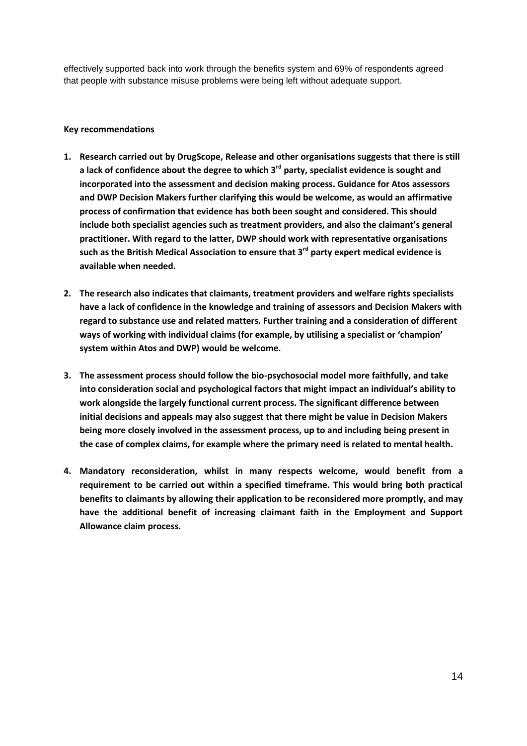effectively supported back into work through the benefits system and 69% of respondents agreed that people with substance misuse problems were being left without adequate support.

### **Key recommendations**

- **1. Research carried out by DrugScope, Release and other organisations suggests that there is still a lack of confidence about the degree to which 3rd party, specialist evidence is sought and incorporated into the assessment and decision making process. Guidance for Atos assessors and DWP Decision Makers further clarifying this would be welcome, as would an affirmative process of confirmation that evidence has both been sought and considered. This should include both specialist agencies such as treatment providers, and also the claimant's general practitioner. With regard to the latter, DWP should work with representative organisations such as the British Medical Association to ensure that 3rd party expert medical evidence is available when needed.**
- **2. The research also indicates that claimants, treatment providers and welfare rights specialists have a lack of confidence in the knowledge and training of assessors and Decision Makers with regard to substance use and related matters. Further training and a consideration of different ways of working with individual claims (for example, by utilising a specialist or 'champion' system within Atos and DWP) would be welcome.**
- **3. The assessment process should follow the bio-psychosocial model more faithfully, and take into consideration social and psychological factors that might impact an individual's ability to work alongside the largely functional current process. The significant difference between initial decisions and appeals may also suggest that there might be value in Decision Makers being more closely involved in the assessment process, up to and including being present in the case of complex claims, for example where the primary need is related to mental health.**
- **4. Mandatory reconsideration, whilst in many respects welcome, would benefit from a requirement to be carried out within a specified timeframe. This would bring both practical benefits to claimants by allowing their application to be reconsidered more promptly, and may have the additional benefit of increasing claimant faith in the Employment and Support Allowance claim process.**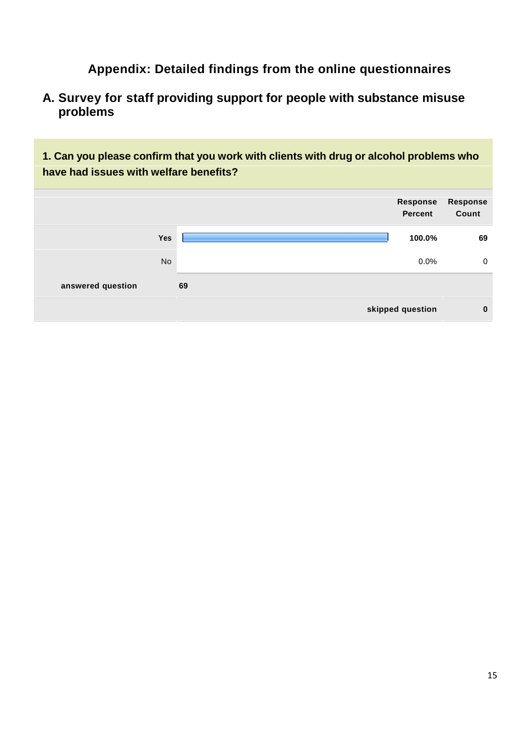**Appendix: Detailed findings from the online questionnaires**

**A. Survey for staff providing support for people with substance misuse problems**

**1. Can you please confirm that you work with clients with drug or alcohol problems who have had issues with welfare benefits?**

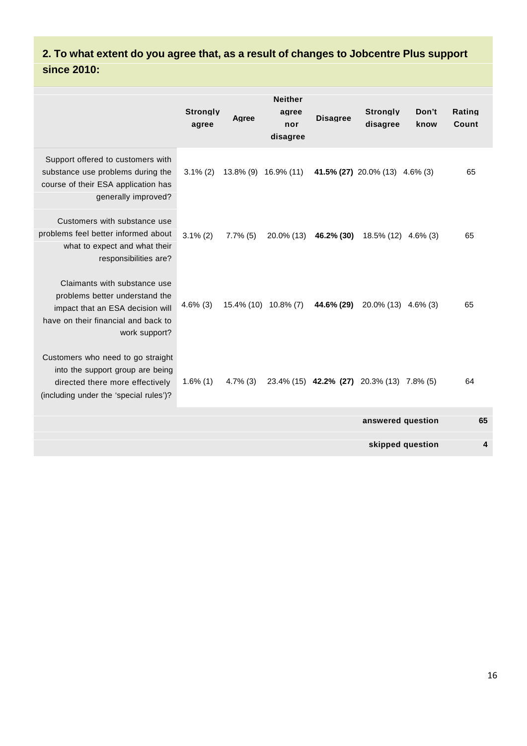## **2. To what extent do you agree that, as a result of changes to Jobcentre Plus support since 2010:**

|                                                                                                                                                            | <b>Stronalv</b><br>agree | Agree       | <b>Neither</b><br>agree<br>nor<br>disagree | <b>Disagree</b>                                                          | <b>Stronaly</b><br>disagree | Don't<br>know    | Rating<br>Count |
|------------------------------------------------------------------------------------------------------------------------------------------------------------|--------------------------|-------------|--------------------------------------------|--------------------------------------------------------------------------|-----------------------------|------------------|-----------------|
| Support offered to customers with<br>substance use problems during the<br>course of their ESA application has<br>generally improved?                       |                          |             |                                            | $3.1\%$ (2) $13.8\%$ (9) $16.9\%$ (11) $41.5\%$ (27) 20.0% (13) 4.6% (3) |                             |                  | 65              |
| Customers with substance use<br>problems feel better informed about<br>what to expect and what their<br>responsibilities are?                              | $3.1\%$ (2)              | $7.7\%$ (5) |                                            | $20.0\%$ (13) 46.2% (30) 18.5% (12) 4.6% (3)                             |                             |                  | 65              |
| Claimants with substance use<br>problems better understand the<br>impact that an ESA decision will<br>have on their financial and back to<br>work support? | $4.6\%$ (3)              |             |                                            | 15.4% (10) 10.8% (7) 44.6% (29) 20.0% (13) 4.6% (3)                      |                             |                  | 65              |
| Customers who need to go straight<br>into the support group are being<br>directed there more effectively<br>(including under the 'special rules')?         | $1.6\%$ (1)              | $4.7\%$ (3) |                                            | 23.4% (15) 42.2% (27) 20.3% (13) 7.8% (5)                                |                             |                  | 64              |
|                                                                                                                                                            |                          |             |                                            |                                                                          | answered question           |                  | 65              |
|                                                                                                                                                            |                          |             |                                            |                                                                          |                             | skipped question | 4               |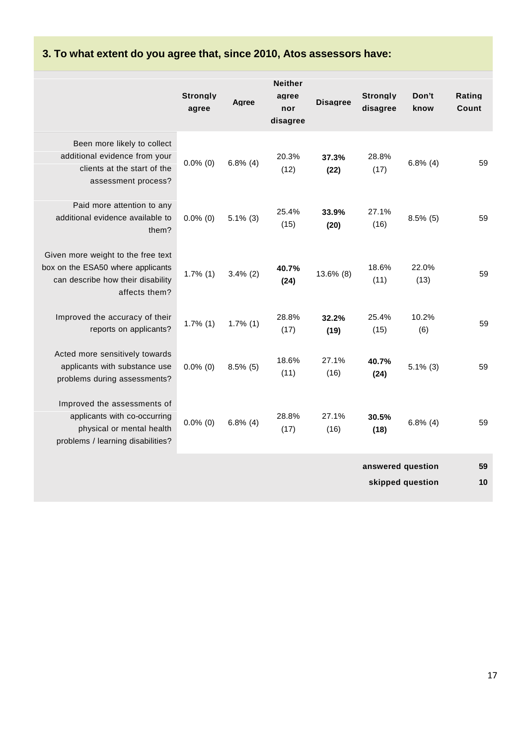# **3. To what extent do you agree that, since 2010, Atos assessors have:**

|                                                                                                                               | <b>Strongly</b><br>agree | Agree       | <b>Neither</b><br>agree<br>nor<br>disagree | <b>Disagree</b> | <b>Strongly</b><br>disagree | Don't<br>know    | Rating<br>Count |
|-------------------------------------------------------------------------------------------------------------------------------|--------------------------|-------------|--------------------------------------------|-----------------|-----------------------------|------------------|-----------------|
| Been more likely to collect<br>additional evidence from your<br>clients at the start of the<br>assessment process?            | $0.0\%$ (0)              | $6.8\%$ (4) | 20.3%<br>(12)                              | 37.3%<br>(22)   | 28.8%<br>(17)               | $6.8\%$ (4)      | 59              |
| Paid more attention to any<br>additional evidence available to<br>them?                                                       | $0.0\%$ (0)              | $5.1\%$ (3) | 25.4%<br>(15)                              | 33.9%<br>(20)   | 27.1%<br>(16)               | $8.5\%$ (5)      | 59              |
| Given more weight to the free text<br>box on the ESA50 where applicants<br>can describe how their disability<br>affects them? | $1.7\%$ (1)              | $3.4\%$ (2) | 40.7%<br>(24)                              | 13.6% (8)       | 18.6%<br>(11)               | 22.0%<br>(13)    | 59              |
| Improved the accuracy of their<br>reports on applicants?                                                                      | $1.7\%$ (1)              | $1.7\%$ (1) | 28.8%<br>(17)                              | 32.2%<br>(19)   | 25.4%<br>(15)               | 10.2%<br>(6)     | 59              |
| Acted more sensitively towards<br>applicants with substance use<br>problems during assessments?                               | $0.0\%$ (0)              | $8.5\%$ (5) | 18.6%<br>(11)                              | 27.1%<br>(16)   | 40.7%<br>(24)               | $5.1\%$ (3)      | 59              |
| Improved the assessments of<br>applicants with co-occurring<br>physical or mental health<br>problems / learning disabilities? | $0.0\%$ (0)              | $6.8\%$ (4) | 28.8%<br>(17)                              | 27.1%<br>(16)   | 30.5%<br>(18)               | $6.8\%$ (4)      | 59              |
|                                                                                                                               |                          |             |                                            |                 | answered question           |                  | 59              |
|                                                                                                                               |                          |             |                                            |                 |                             | skipped question | 10              |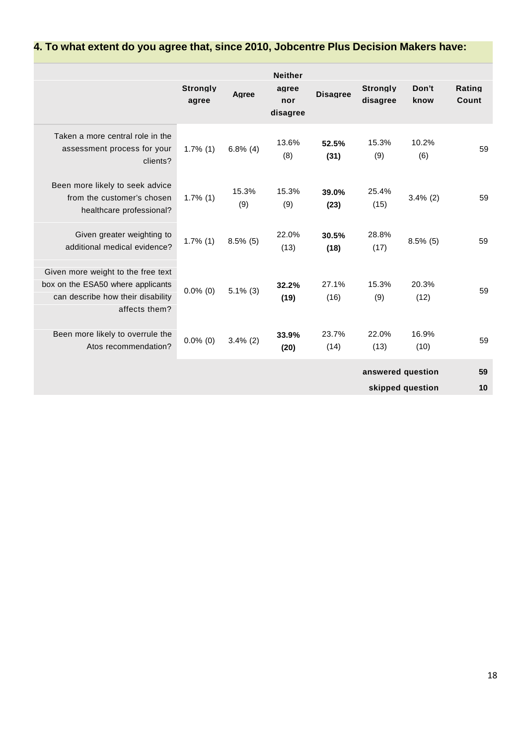#### **Neither Strongly agree Strongly Don't Rating Agree Disagree agree nor disagree know Count disagree** Taken a more central role in the assessment process for your clients? 13.6% **52.5%** 15.3% 10.2% 1.7% (1) 6.8% (4)  $(2)$  59 (8) **(31)** (9) (6) Been more likely to seek advice from the customer's chosen 1.7% (1) healthcare professional? 15.3% 15.3% **39.0%** 25.4% 1.7% (1)  $(2)$   $(3)$   $(4)$   $(5)$   $(1)$   $(2)$   $(5)$ (9) (9) **(23)** (15) Given greater weighting to<br>ditional madies exidence 2 1.7% (1) additional medical evidence? 22.0% **30.5%** 28.8%  $1.5\%$  (5)  $1.3\%$   $1.7\%$   $1.7\%$   $1.7\%$   $1.7\%$   $1.7\%$   $1.7\%$   $1.7\%$   $1.7\%$   $1.7\%$   $1.7\%$   $1.7\%$   $1.7\%$   $1.7\%$   $1.7\%$   $1.7\%$   $1.7\%$   $1.7\%$   $1.7\%$   $1.7\%$   $1.7\%$   $1.7\%$   $1.7\%$   $1.7\%$   $1.7\%$   $1.7\%$  (13) **(18)** (17) Given more weight to the free text box on the ESA50 where applicants<br>  $0.0\%$  (0) can describe how their disability affects them? **32.2%** 27.1% 15.3% 20.3%  $0.0\%$  (0)  $5.1\%$  (3)  $\frac{1}{10.5}$  (40)  $\frac{1}{10.5}$  (40)  $\frac{1}{10.5}$  59 **(19)** (16) (9) (12)

**33.9%** 23.7% 22.0% 16.9%

**answered question 59 skipped question 10**

 $0.0\%$  (0)  $3.4\%$  (2)  $\qquad \qquad$   $(1.0)$   $(1.0)$   $(1.0)$   $(1.0)$   $(1.0)$   $(1.0)$   $(1.0)$   $(1.0)$   $(1.0)$ **(20)** (14) (13) (10)

Been more likely to overrule the<br>  $\frac{1}{2}$  0.0% (0) Atos recommendation?

## **4. To what extent do you agree that, since 2010, Jobcentre Plus Decision Makers have:**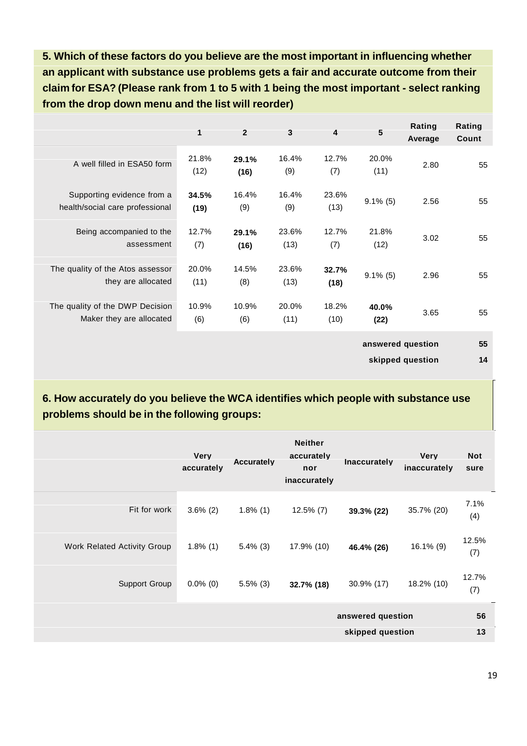**5. Which of these factors do you believe are the most important in influencing whether an applicant with substance use problems gets a fair and accurate outcome from their claim for ESA? (Please rank from 1 to5 with 1 being the most important - select ranking from the drop down menu and the list will reorder)**

|                                                               | 1             | $\overline{2}$ | 3             | 4             | 5                 | Rating<br>Average | Rating<br>Count |
|---------------------------------------------------------------|---------------|----------------|---------------|---------------|-------------------|-------------------|-----------------|
| A well filled in ESA50 form                                   | 21.8%<br>(12) | 29.1%<br>(16)  | 16.4%<br>(9)  | 12.7%<br>(7)  | 20.0%<br>(11)     | 2.80              | 55              |
| Supporting evidence from a<br>health/social care professional | 34.5%<br>(19) | 16.4%<br>(9)   | 16.4%<br>(9)  | 23.6%<br>(13) | $9.1\%$ (5)       | 2.56              | 55              |
| Being accompanied to the<br>assessment                        | 12.7%<br>(7)  | 29.1%<br>(16)  | 23.6%<br>(13) | 12.7%<br>(7)  | 21.8%<br>(12)     | 3.02              | 55              |
| The quality of the Atos assessor<br>they are allocated        | 20.0%<br>(11) | 14.5%<br>(8)   | 23.6%<br>(13) | 32.7%<br>(18) | $9.1\%$ (5)       | 2.96              | 55              |
| The quality of the DWP Decision<br>Maker they are allocated   | 10.9%<br>(6)  | 10.9%<br>(6)   | 20.0%<br>(11) | 18.2%<br>(10) | 40.0%<br>(22)     | 3.65              | 55              |
|                                                               |               |                |               |               | answered question |                   | 55              |
|                                                               |               |                |               |               |                   | skipped question  | 14              |

**6. How accurately do you believe the WCA identifies which people with substance use problems should be in the following groups:**

|                             | <b>Very</b><br>accurately | <b>Accurately</b> | <b>Neither</b><br>accurately<br>nor<br>inaccurately | <b>Inaccurately</b> | <b>Very</b><br>inaccurately | <b>Not</b><br>sure |  |  |
|-----------------------------|---------------------------|-------------------|-----------------------------------------------------|---------------------|-----------------------------|--------------------|--|--|
| Fit for work                | $3.6\%$ (2)               | $1.8\%$ (1)       | $12.5\%$ (7)                                        | 39.3% (22)          | 35.7% (20)                  | 7.1%<br>(4)        |  |  |
| Work Related Activity Group | $1.8\%$ (1)               | $5.4\%$ (3)       | 17.9% (10)                                          | 46.4% (26)          | 16.1% (9)                   | 12.5%<br>(7)       |  |  |
| <b>Support Group</b>        | $0.0\%$ (0)               | $5.5\%$ (3)       | 32.7% (18)                                          | 30.9% (17)          | 18.2% (10)                  | 12.7%<br>(7)       |  |  |
|                             |                           |                   |                                                     | answered question   |                             |                    |  |  |
|                             |                           |                   |                                                     | skipped question    |                             |                    |  |  |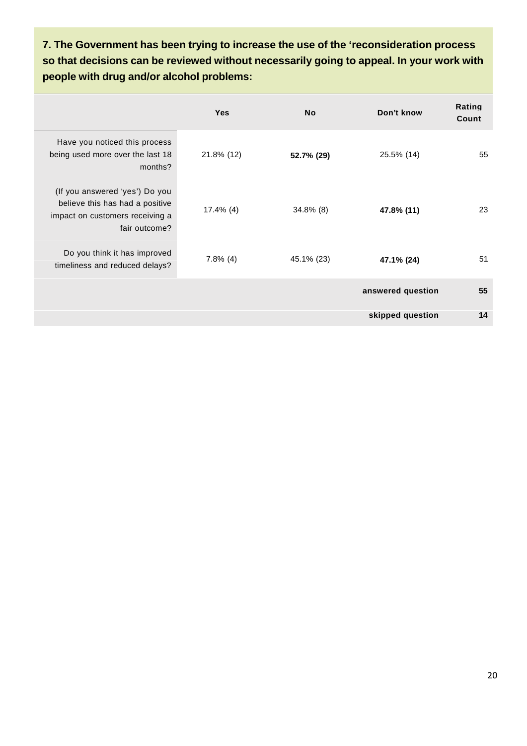**7. The Government has been trying to increase the use of the 'reconsideration process so thatdecisions can be reviewed without necessarily going to appeal. In your work with people with drug and/or alcohol problems:**

|                                                                                                                       | <b>Yes</b>   | <b>No</b>    | Don't know        | Rating<br>Count |
|-----------------------------------------------------------------------------------------------------------------------|--------------|--------------|-------------------|-----------------|
| Have you noticed this process<br>being used more over the last 18<br>months?                                          | 21.8% (12)   | 52.7% (29)   | 25.5% (14)        | 55              |
| (If you answered 'yes') Do you<br>believe this has had a positive<br>impact on customers receiving a<br>fair outcome? | $17.4\%$ (4) | $34.8\%$ (8) | 47.8% (11)        | 23              |
| Do you think it has improved<br>timeliness and reduced delays?                                                        | $7.8\%$ (4)  | 45.1% (23)   | 47.1% (24)        | 51              |
|                                                                                                                       |              |              | answered question | 55              |
|                                                                                                                       |              |              | skipped question  | 14              |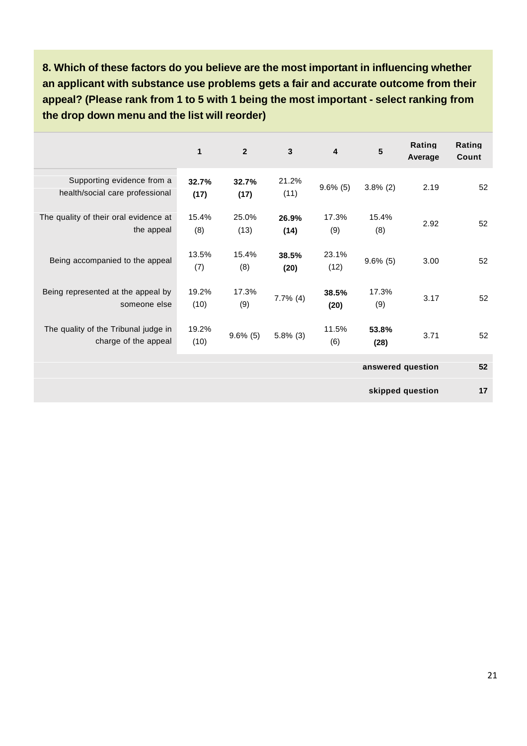**8. Which of these factors do you believe are the most important in influencing whether an applicant with substance use problems gets a fair and accurate outcome from their appeal? (Please rank from 1 to 5 with 1 being the most important - select ranking from the drop down menu and the listwill reorder)**

|                                                               | $\mathbf{1}$  | $\overline{2}$ | $\mathbf{3}$  | 4             | 5                 | Rating<br>Average | Rating<br>Count |
|---------------------------------------------------------------|---------------|----------------|---------------|---------------|-------------------|-------------------|-----------------|
| Supporting evidence from a<br>health/social care professional | 32.7%<br>(17) | 32.7%<br>(17)  | 21.2%<br>(11) | $9.6\%$ (5)   | $3.8\%$ (2)       | 2.19              | 52              |
| The quality of their oral evidence at<br>the appeal           | 15.4%<br>(8)  | 25.0%<br>(13)  | 26.9%<br>(14) | 17.3%<br>(9)  | 15.4%<br>(8)      | 2.92              | 52              |
| Being accompanied to the appeal                               | 13.5%<br>(7)  | 15.4%<br>(8)   | 38.5%<br>(20) | 23.1%<br>(12) | $9.6\%$ (5)       | 3.00              | 52              |
| Being represented at the appeal by<br>someone else            | 19.2%<br>(10) | 17.3%<br>(9)   | $7.7\%$ (4)   | 38.5%<br>(20) | 17.3%<br>(9)      | 3.17              | 52              |
| The quality of the Tribunal judge in<br>charge of the appeal  | 19.2%<br>(10) | $9.6\%$ (5)    | $5.8\%$ (3)   | 11.5%<br>(6)  | 53.8%<br>(28)     | 3.71              | 52              |
|                                                               |               |                |               |               | answered question |                   | 52              |

**skipped question 17**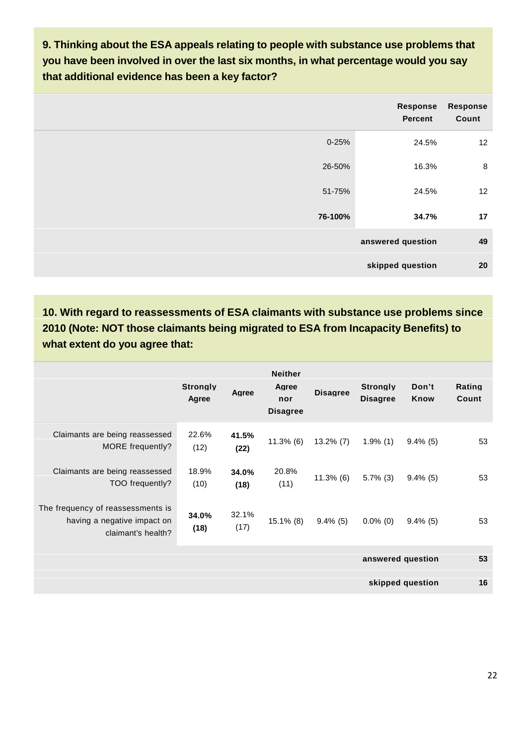**9. Thinking about the ESA appeals relating to people with substance use problems that you have been involved in over the last six months, in what percentage would you say that additional evidence has been a key factor?**

|           | Response<br>Percent | <b>Response</b><br>Count |
|-----------|---------------------|--------------------------|
| $0 - 25%$ | 24.5%               | 12                       |
| 26-50%    | 16.3%               | $\bf 8$                  |
| 51-75%    | 24.5%               | 12                       |
| 76-100%   | 34.7%               | 17                       |
|           | answered question   | 49                       |
|           | skipped question    | 20                       |

**10. With regard to reassessments of ESA claimants with substance use problems since 2010 (Note: NOT those claimants being migrated to ESA from Incapacity Benefits) to what extent do you agree that:**

|                                                                                        | <b>Strongly</b><br>Agree | Agree         | <b>Neither</b><br>Agree<br>nor<br><b>Disagree</b> | <b>Disagree</b> | <b>Stronaly</b><br><b>Disagree</b> | Don't<br>Know    | Rating<br>Count |
|----------------------------------------------------------------------------------------|--------------------------|---------------|---------------------------------------------------|-----------------|------------------------------------|------------------|-----------------|
| Claimants are being reassessed<br>MORE frequently?                                     | 22.6%<br>(12)            | 41.5%<br>(22) | $11.3\%$ (6)                                      | $13.2\% (7)$    | $1.9\%$ (1)                        | $9.4\%$ (5)      | 53              |
| Claimants are being reassessed<br>TOO frequently?                                      | 18.9%<br>(10)            | 34.0%<br>(18) | 20.8%<br>(11)                                     | $11.3\%$ (6)    | $5.7\%$ (3)                        | $9.4\%$ (5)      | 53              |
| The frequency of reassessments is<br>having a negative impact on<br>claimant's health? | 34.0%<br>(18)            | 32.1%<br>(17) | $15.1\%$ (8)                                      | $9.4\%$ (5)     | $0.0\%$ (0)                        | $9.4\%$ (5)      | 53              |
|                                                                                        | answered question        |               |                                                   |                 |                                    |                  | 53              |
|                                                                                        |                          |               |                                                   |                 |                                    | skipped question | 16              |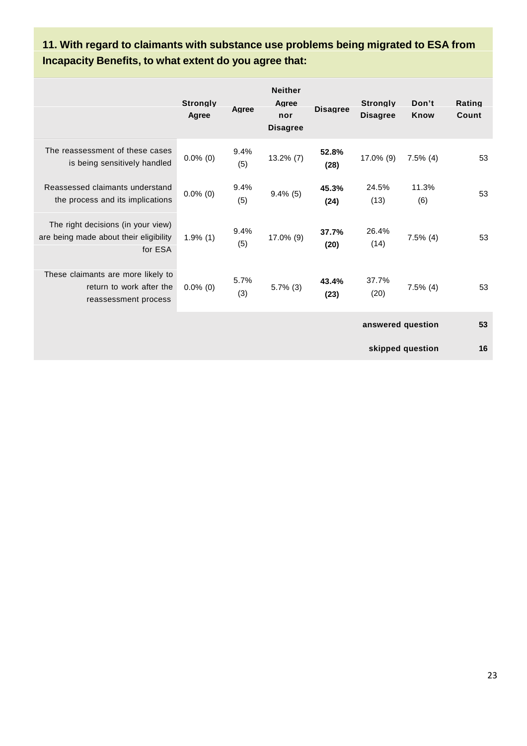|                                                                                         | <u>mcapacity Benemis, to what extent do you agree that.</u> |             |                                                   |                 |                                    |                  |                 |  |  |
|-----------------------------------------------------------------------------------------|-------------------------------------------------------------|-------------|---------------------------------------------------|-----------------|------------------------------------|------------------|-----------------|--|--|
|                                                                                         | <b>Stronalv</b><br>Agree                                    | Agree       | <b>Neither</b><br>Agree<br>nor<br><b>Disagree</b> | <b>Disagree</b> | <b>Stronalv</b><br><b>Disagree</b> | Don't<br>Know    | Rating<br>Count |  |  |
| The reassessment of these cases<br>is being sensitively handled                         | $0.0\%$ (0)                                                 | 9.4%<br>(5) | $13.2\%$ (7)                                      | 52.8%<br>(28)   | 17.0% (9)                          | $7.5\%$ (4)      | 53              |  |  |
| Reassessed claimants understand<br>the process and its implications                     | $0.0\%$ (0)                                                 | 9.4%<br>(5) | $9.4\%$ (5)                                       | 45.3%<br>(24)   | 24.5%<br>(13)                      | 11.3%<br>(6)     | 53              |  |  |
| The right decisions (in your view)<br>are being made about their eligibility<br>for ESA | $1.9\%$ (1)                                                 | 9.4%<br>(5) | 17.0% (9)                                         | 37.7%<br>(20)   | 26.4%<br>(14)                      | $7.5\%$ (4)      | 53              |  |  |
| These claimants are more likely to<br>return to work after the<br>reassessment process  | $0.0\%$ (0)                                                 | 5.7%<br>(3) | $5.7\%$ (3)                                       | 43.4%<br>(23)   | 37.7%<br>(20)                      | $7.5\%$ (4)      | 53              |  |  |
|                                                                                         |                                                             |             |                                                   |                 | answered question                  |                  | 53              |  |  |
|                                                                                         |                                                             |             |                                                   |                 |                                    | skipped question | 16              |  |  |

## **11. With regard to claimants with substance use problems being migrated to ESA from Incapacity Benefits, to what extent do you agree that:**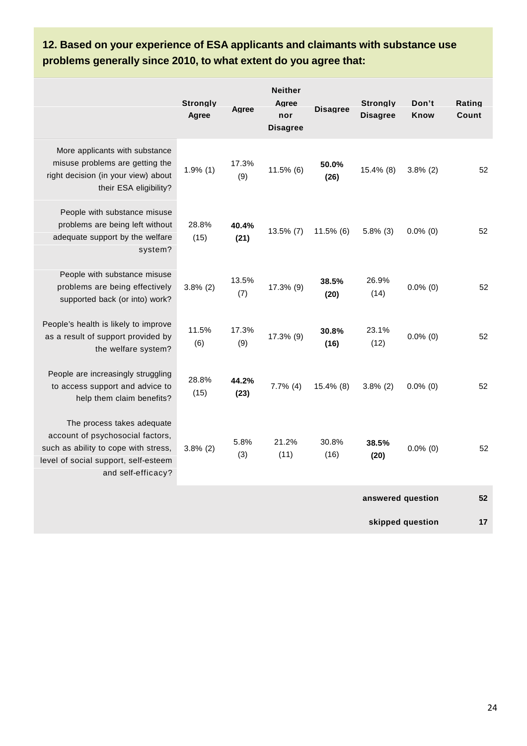# **12. Based on your experience of ESA applicants and claimants with substance use problems generally since 2010, to what extent do you agree that:**

|                                                                                                                                                                      | <b>Strongly</b><br>Agree | Agree         | <b>Neither</b><br>Agree<br>nor<br><b>Disagree</b> | <b>Disagree</b> | <b>Strongly</b><br><b>Disagree</b> | Don't<br>Know | Rating<br>Count |
|----------------------------------------------------------------------------------------------------------------------------------------------------------------------|--------------------------|---------------|---------------------------------------------------|-----------------|------------------------------------|---------------|-----------------|
| More applicants with substance<br>misuse problems are getting the<br>right decision (in your view) about<br>their ESA eligibility?                                   | $1.9\%$ (1)              | 17.3%<br>(9)  | 11.5% (6)                                         | 50.0%<br>(26)   | 15.4% (8)                          | $3.8\%$ (2)   | 52              |
| People with substance misuse<br>problems are being left without<br>adequate support by the welfare<br>system?                                                        | 28.8%<br>(15)            | 40.4%<br>(21) | $13.5\%$ (7)                                      | $11.5\%$ (6)    | $5.8\%$ (3)                        | $0.0\%$ (0)   | 52              |
| People with substance misuse<br>problems are being effectively<br>supported back (or into) work?                                                                     | $3.8\%$ (2)              | 13.5%<br>(7)  | 17.3% (9)                                         | 38.5%<br>(20)   | 26.9%<br>(14)                      | $0.0\%$ (0)   | 52              |
| People's health is likely to improve<br>as a result of support provided by<br>the welfare system?                                                                    | 11.5%<br>(6)             | 17.3%<br>(9)  | 17.3% (9)                                         | 30.8%<br>(16)   | 23.1%<br>(12)                      | $0.0\%$ (0)   | 52              |
| People are increasingly struggling<br>to access support and advice to<br>help them claim benefits?                                                                   | 28.8%<br>(15)            | 44.2%<br>(23) | $7.7\%$ (4)                                       | 15.4% (8)       | $3.8\%$ (2)                        | $0.0\%$ (0)   | 52              |
| The process takes adequate<br>account of psychosocial factors,<br>such as ability to cope with stress,<br>level of social support, self-esteem<br>and self-efficacy? | $3.8\%$ (2)              | 5.8%<br>(3)   | 21.2%<br>(11)                                     | 30.8%<br>(16)   | 38.5%<br>(20)                      | $0.0\%$ (0)   | 52              |
|                                                                                                                                                                      |                          |               |                                                   |                 | answered question                  |               | 52              |

**skipped question 17**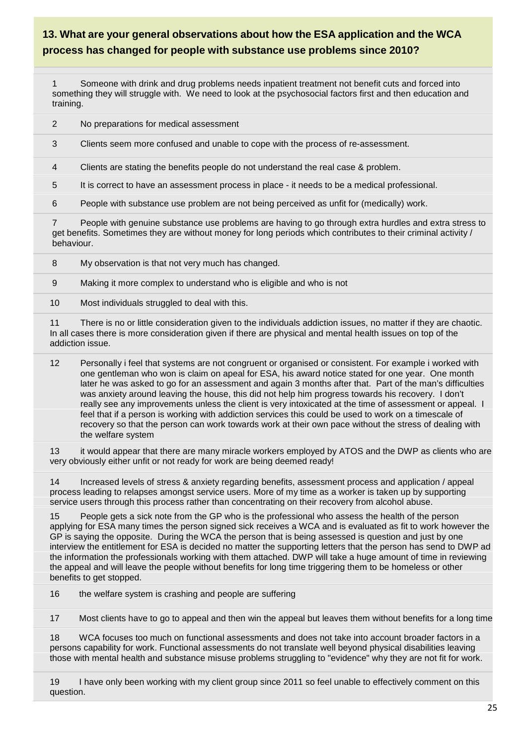## **13. What are your general observations about how the ESA application and the WCA process has changed for people with substance use problems since 2010?**

1 Someone with drink and drug problems needs inpatient treatment not benefit cuts and forced into something they will struggle with. We need to look at the psychosocial factors first and then education and training.

2 No preparations for medical assessment

3 Clients seem more confused and unable to cope with the process of re-assessment.

4 Clients are stating the benefits people do not understand the real case & problem.

5 It is correct to have an assessment process in place - it needs to be a medical professional.

6 People with substance use problem are not being perceived as unfit for (medically) work.

7 People with genuine substance use problems are having to go through extra hurdles and extra stress to get benefits. Sometimes they are without money for long periods which contributes to their criminal activity / behaviour.

8 My observation is that not very much has changed.

9 Making it more complex to understand who is eligible and who is not

10 Most individuals struggled to deal with this.

11 There is no or little consideration given to the individuals addiction issues, no matter if they are chaotic. In all cases there is more consideration given if there are physical and mental health issues on top of the addiction issue.

12 Personally i feel that systems are not congruent or organised or consistent. For example i worked with one gentleman who won is claim on apeal for ESA, his award notice stated for one year. One month later he was asked to go for an assessment and again 3 months after that. Part of the man's difficulties was anxiety around leaving the house, this did not help him progress towards his recovery. I don't really see any improvements unless the client is very intoxicated at the time of assessment or appeal. I feel that if a person is working with addiction services this could be used to work on a timescale of recovery so that the person can work towards work at their own pace without the stress of dealing with the welfare system

13 it would appear that there are many miracle workers employed by ATOS and the DWP as clients who are very obviously either unfit or not ready for work are being deemed ready!

14 Increased levels of stress & anxiety regarding benefits, assessment process and application / appeal process leading to relapses amongst service users. More of my time as a worker is taken up by supporting service users through this process rather than concentrating on their recovery from alcohol abuse.

15 People gets a sick note from the GP who is the professional who assess the health of the person applying for ESA many times the person signed sick receives a WCA and is evaluated as fit to work however the GP is saying the opposite. During the WCA the person that is being assessed is question and just by one interview the entitlement for ESA is decided no matter the supporting letters that the person has send to DWP ad the information the professionals working with them attached. DWP will take a huge amount of time in reviewing the appeal and will leave the people without benefits for long time triggering them to be homeless or other benefits to get stopped.

16 the welfare system is crashing and people are suffering

17 Most clients have to go to appeal and then win the appeal but leaves them without benefits for a long time

18 WCA focuses too much on functional assessments and does not take into account broader factors in a persons capability for work. Functional assessments do not translate well beyond physical disabilities leaving those with mental health and substance misuse problems struggling to "evidence" why they are not fit for work.

19 I have only been working with my client group since 2011 so feel unable to effectively comment on this question.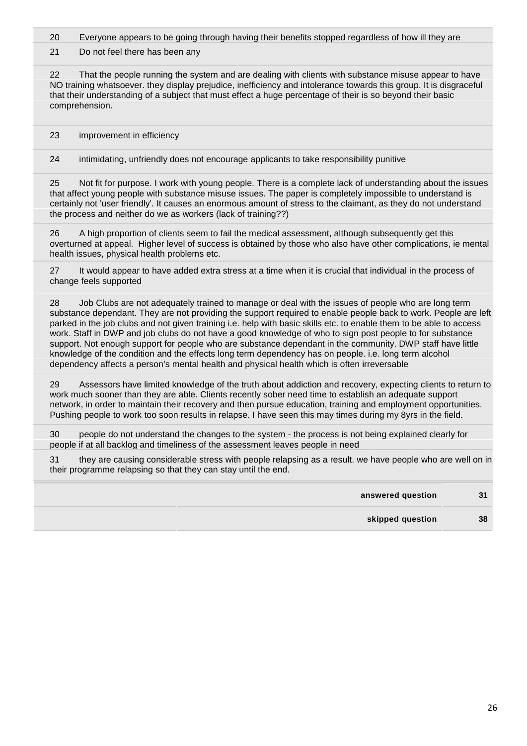20 Everyone appears to be going through having their benefits stopped regardless of how ill they are

21 Do not feel there has been any

22 That the people running the system and are dealing with clients with substance misuse appear to have NO training whatsoever. they display prejudice, inefficiency and intolerance towards this group. It is disgraceful that their understanding of a subject that must effect a huge percentage of their is so beyond their basic comprehension.

23 improvement in efficiency

24 intimidating, unfriendly does not encourage applicants to take responsibility punitive

25 Not fit for purpose. I work with young people. There is a complete lack of understanding about the issues that affect young people with substance misuse issues. The paper is completely impossible to understand is certainly not 'user friendly'. It causes an enormous amount of stress to the claimant, as they do not understand the process and neither do we as workers (lack of training??)

26 A high proportion of clients seem to fail the medical assessment, although subsequently get this overturned at appeal. Higher level of success is obtained by those who also have other complications, ie mental health issues, physical health problems etc.

27 It would appear to have added extra stress at a time when it is crucial that individual in the process of change feels supported

28 Job Clubs are not adequately trained to manage or deal with the issues of people who are long term substance dependant. They are not providing the support required to enable people back to work. People are left parked in the job clubs and not given training i.e. help with basic skills etc. to enable them to be able to access work. Staff in DWP and job clubs do not have a good knowledge of who to sign post people to for substance support. Not enough support for people who are substance dependant in the community. DWP staff have little knowledge of the condition and the effects long term dependency has on people. i.e. long term alcohol dependency affects a person's mental health and physical health which is often irreversable

29 Assessors have limited knowledge of the truth about addiction and recovery, expecting clients to return to work much sooner than they are able. Clients recently sober need time to establish an adequate support network, in order to maintain their recovery and then pursue education, training and employment opportunities. Pushing people to work too soon results in relapse. I have seen this may times during my 8yrs in the field.

30 people do not understand the changes to the system - the process is not being explained clearly for people if at all backlog and timeliness of the assessment leaves people in need

31 they are causing considerable stress with people relapsing as a result. we have people who are well on in their programme relapsing so that they can stay until the end.

| answered question | 31 |  |
|-------------------|----|--|
| skipped question  | 38 |  |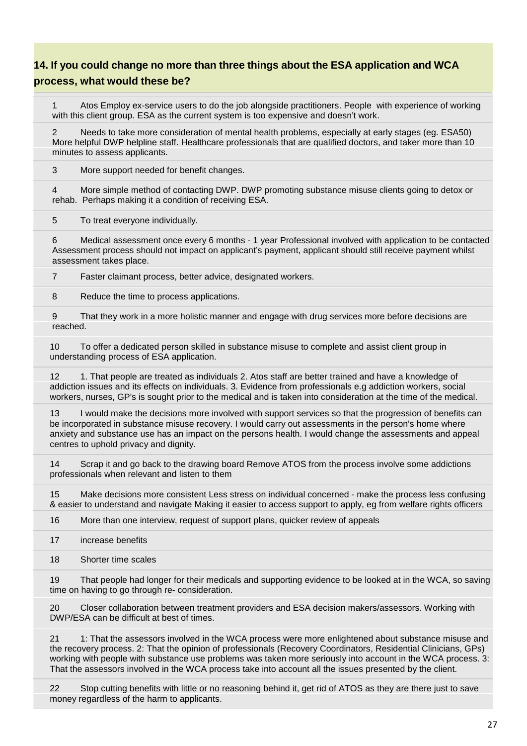## **14. If you could change no more than three things about the ESA application and WCA process, what would these be?**

1 Atos Employ ex-service users to do the job alongside practitioners. People with experience of working with this client group. ESA as the current system is too expensive and doesn't work.

Needs to take more consideration of mental health problems, especially at early stages (eg. ESA50) More helpful DWP helpline staff. Healthcare professionals that are qualified doctors, and taker more than 10 minutes to assess applicants.

3 More support needed for benefit changes.

4 More simple method of contacting DWP. DWP promoting substance misuse clients going to detox or rehab. Perhaps making it a condition of receiving ESA.

5 To treat everyone individually.

6 Medical assessment once every 6 months - 1 year Professional involved with application to be contacted Assessment process should not impact on applicant's payment, applicant should still receive payment whilst assessment takes place.

7 Faster claimant process, better advice, designated workers.

8 Reduce the time to process applications.

9 That they work in a more holistic manner and engage with drug services more before decisions are reached.

10 To offer a dedicated person skilled in substance misuse to complete and assist client group in understanding process of ESA application.

12 1. That people are treated as individuals 2. Atos staff are better trained and have a knowledge of addiction issues and its effects on individuals. 3. Evidence from professionals e.g addiction workers, social workers, nurses, GP's is sought prior to the medical and is taken into consideration at the time of the medical.

13 I would make the decisions more involved with support services so that the progression of benefits can be incorporated in substance misuse recovery. I would carry out assessments in the person's home where anxiety and substance use has an impact on the persons health. I would change the assessments and appeal centres to uphold privacy and dignity.

14 Scrap it and go back to the drawing board Remove ATOS from the process involve some addictions professionals when relevant and listen to them

15 Make decisions more consistent Less stress on individual concerned - make the process less confusing & easier to understand and navigate Making it easier to access support to apply, eg from welfare rights officers

16 More than one interview, request of support plans, quicker review of appeals

17 increase benefits

18 Shorter time scales

19 That people had longer for their medicals and supporting evidence to be looked at in the WCA, so saving time on having to go through re- consideration.

20 Closer collaboration between treatment providers and ESA decision makers/assessors. Working with DWP/ESA can be difficult at best of times.

21 1: That the assessors involved in the WCA process were more enlightened about substance misuse and the recovery process. 2: That the opinion of professionals (Recovery Coordinators, Residential Clinicians, GPs) working with people with substance use problems was taken more seriously into account in the WCA process. 3: That the assessors involved in the WCA process take into account all the issues presented by the client.

22 Stop cutting benefits with little or no reasoning behind it, get rid of ATOS as they are there just to save money regardless of the harm to applicants.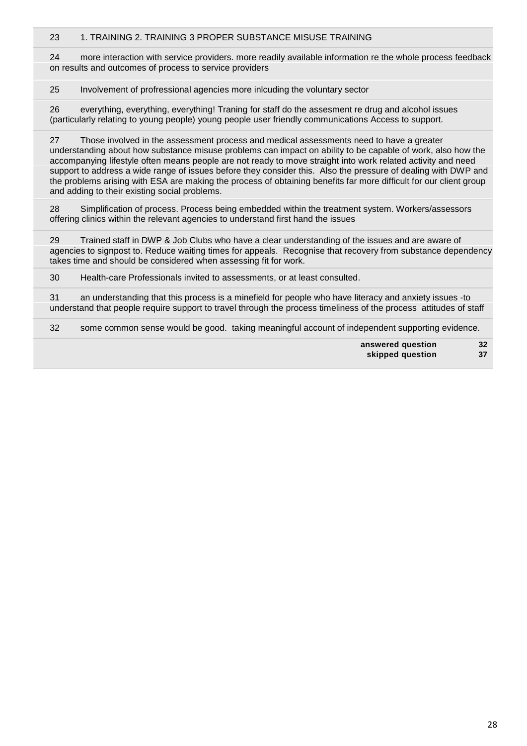### 23 1. TRAINING 2. TRAINING 3 PROPER SUBSTANCE MISUSE TRAINING

24 more interaction with service providers. more readily available information re the whole process feedback on results and outcomes of process to service providers

25 Involvement of profressional agencies more inlcuding the voluntary sector

26 everything, everything, everything! Traning for staff do the assesment re drug and alcohol issues (particularly relating to young people) young people user friendly communications Access to support.

27 Those involved in the assessment process and medical assessments need to have a greater understanding about how substance misuse problems can impact on ability to be capable of work, also how the accompanying lifestyle often means people are not ready to move straight into work related activity and need support to address a wide range of issues before they consider this. Also the pressure of dealing with DWP and the problems arising with ESA are making the process of obtaining benefits far more difficult for our client group and adding to their existing social problems.

28 Simplification of process. Process being embedded within the treatment system. Workers/assessors offering clinics within the relevant agencies to understand first hand the issues

29 Trained staff in DWP & Job Clubs who have a clear understanding of the issues and are aware of agencies to signpost to. Reduce waiting times for appeals. Recognise that recovery from substance dependency takes time and should be considered when assessing fit for work.

30 Health-care Professionals invited to assessments, or at least consulted.

31 an understanding that this process is a minefield for people who have literacy and anxiety issues -to understand that people require support to travel through the process timeliness of the process attitudes of staff

32 some common sense would be good. taking meaningful account of independent supporting evidence.

**answered question 32 skipped question 37**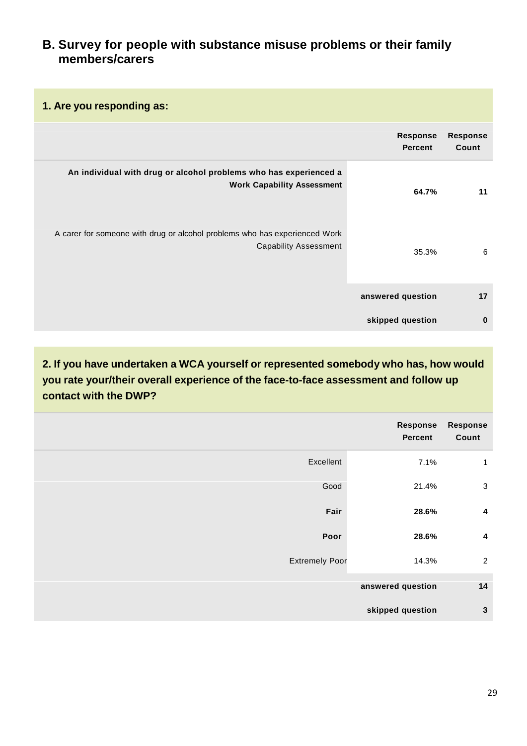## **B. Survey for people with substance misuse problems or their family members/carers**

|                                                                                                            | <b>Response</b><br><b>Percent</b> | <b>Response</b><br>Count |
|------------------------------------------------------------------------------------------------------------|-----------------------------------|--------------------------|
| An individual with drug or alcohol problems who has experienced a<br><b>Work Capability Assessment</b>     | 64.7%                             | 11                       |
| A carer for someone with drug or alcohol problems who has experienced Work<br><b>Capability Assessment</b> | 35.3%                             | 6                        |
|                                                                                                            | answered question                 | 17                       |
|                                                                                                            | skipped question                  | $\bf{0}$                 |

**2. If you have undertaken a WCA yourself or represented somebody who has, how would you rate your/their overall experience of the face-to-face assessment and follow up contact with the DWP?**

| <b>Response</b><br>Count | Response<br>Percent |                       |
|--------------------------|---------------------|-----------------------|
| 1                        | 7.1%                | Excellent             |
| $\sqrt{3}$               | 21.4%               | Good                  |
| $\overline{\mathbf{4}}$  | 28.6%               | Fair                  |
| $\overline{\mathbf{4}}$  | 28.6%               | Poor                  |
| $\sqrt{2}$               | 14.3%               | <b>Extremely Poor</b> |
| 14                       | answered question   |                       |
| 3                        | skipped question    |                       |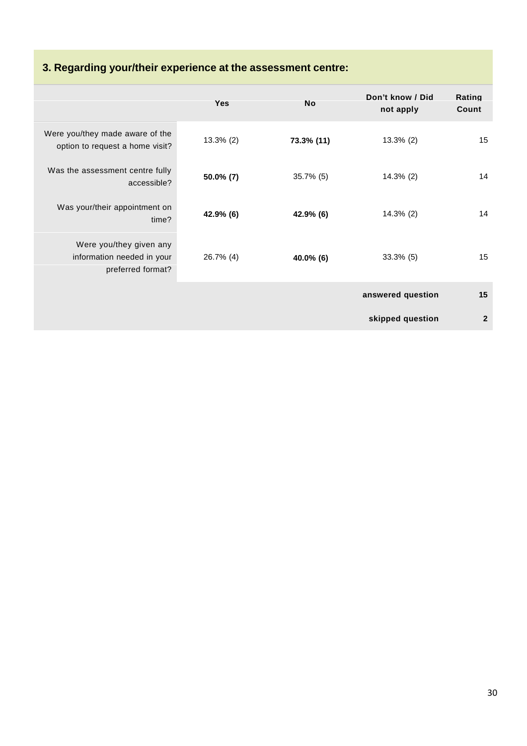# **3. Regarding your/their experience at the assessment centre:**

|                                                                            | <b>Yes</b>   | <b>No</b>    | Don't know / Did<br>not apply | Rating<br>Count |
|----------------------------------------------------------------------------|--------------|--------------|-------------------------------|-----------------|
| Were you/they made aware of the<br>option to request a home visit?         | $13.3\%$ (2) | 73.3% (11)   | $13.3\%$ (2)                  | 15              |
| Was the assessment centre fully<br>accessible?                             | $50.0\%$ (7) | $35.7\%$ (5) | $14.3\%$ (2)                  | 14              |
| Was your/their appointment on<br>time?                                     | 42.9% (6)    | 42.9% (6)    | $14.3\%$ (2)                  | 14              |
| Were you/they given any<br>information needed in your<br>preferred format? | 26.7% (4)    | 40.0% (6)    | $33.3\%$ (5)                  | 15              |
|                                                                            |              |              | answered question             | 15              |
|                                                                            |              |              | skipped question              | $\mathbf{2}$    |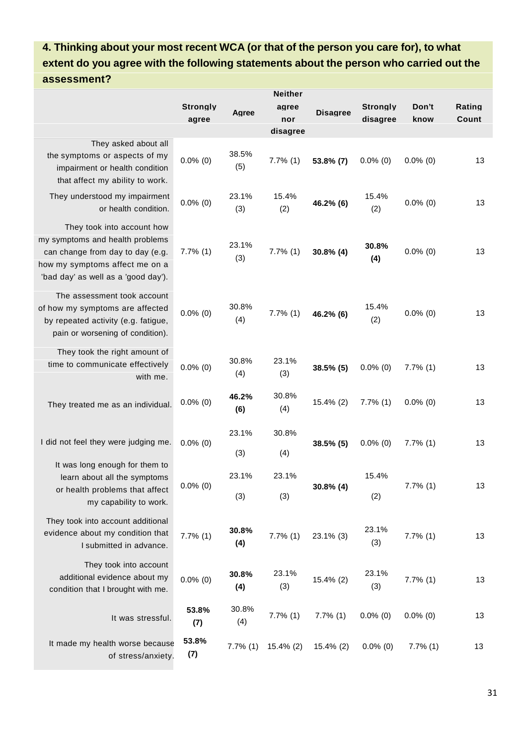# **4. Thinking about your most recent WCA (or that of the person you care for), to what extent do you agree with the following statements about the person who carried out the assessment?**

|                                                                                                                                                                            | <b>Neither</b>           |              |                          |                 |                             |               |                 |
|----------------------------------------------------------------------------------------------------------------------------------------------------------------------------|--------------------------|--------------|--------------------------|-----------------|-----------------------------|---------------|-----------------|
|                                                                                                                                                                            | <b>Strongly</b><br>agree | Agree        | agree<br>nor<br>disagree | <b>Disagree</b> | <b>Strongly</b><br>disagree | Don't<br>know | Rating<br>Count |
| They asked about all<br>the symptoms or aspects of my<br>impairment or health condition<br>that affect my ability to work.                                                 | $0.0\%$ (0)              | 38.5%<br>(5) | $7.7\%$ (1)              | 53.8% (7)       | $0.0\%$ (0)                 | $0.0\%$ (0)   | 13              |
| They understood my impairment<br>or health condition.                                                                                                                      | $0.0\%$ (0)              | 23.1%<br>(3) | 15.4%<br>(2)             | 46.2% (6)       | 15.4%<br>(2)                | $0.0\%$ (0)   | 13              |
| They took into account how<br>my symptoms and health problems<br>can change from day to day (e.g.<br>how my symptoms affect me on a<br>'bad day' as well as a 'good day'). | $7.7\%$ (1)              | 23.1%<br>(3) | $7.7\%$ (1)              | $30.8\%$ (4)    | 30.8%<br>(4)                | $0.0\%$ (0)   | 13              |
| The assessment took account<br>of how my symptoms are affected<br>by repeated activity (e.g. fatigue,<br>pain or worsening of condition).                                  | $0.0\%$ (0)              | 30.8%<br>(4) | $7.7\%$ (1)              | 46.2% (6)       | 15.4%<br>(2)                | $0.0\%$ (0)   | 13              |
| They took the right amount of<br>time to communicate effectively<br>with me.                                                                                               | $0.0\%$ (0)              | 30.8%<br>(4) | 23.1%<br>(3)             | 38.5% (5)       | $0.0\%$ (0)                 | $7.7\%$ (1)   | 13              |
| They treated me as an individual.                                                                                                                                          | $0.0\%$ (0)              | 46.2%<br>(6) | 30.8%<br>(4)             | 15.4% (2)       | $7.7\%$ (1)                 | $0.0\%$ (0)   | 13              |
| I did not feel they were judging me.                                                                                                                                       | $0.0\%$ (0)              | 23.1%<br>(3) | 30.8%<br>(4)             | 38.5% (5)       | $0.0\%$ (0)                 | $7.7\%$ (1)   | 13              |
| It was long enough for them to<br>learn about all the symptoms<br>or health problems that affect<br>my capability to work.                                                 | $0.0\%$ (0)              | 23.1%<br>(3) | 23.1%<br>(3)             | $30.8\%$ (4)    | 15.4%<br>(2)                | $7.7\%$ (1)   | 13              |
| They took into account additional<br>evidence about my condition that<br>I submitted in advance.                                                                           | $7.7\%$ (1)              | 30.8%<br>(4) | $7.7\%$ (1)              | 23.1% (3)       | 23.1%<br>(3)                | $7.7\%$ (1)   | 13              |
| They took into account<br>additional evidence about my<br>condition that I brought with me.                                                                                | $0.0\%$ (0)              | 30.8%<br>(4) | 23.1%<br>(3)             | 15.4% (2)       | 23.1%<br>(3)                | $7.7\%$ (1)   | 13              |
| It was stressful.                                                                                                                                                          | 53.8%<br>(7)             | 30.8%<br>(4) | $7.7\%$ (1)              | $7.7\%$ (1)     | $0.0\%$ (0)                 | $0.0\%$ (0)   | 13              |
| It made my health worse because<br>of stress/anxiety.                                                                                                                      | 53.8%<br>(7)             | $7.7\%$ (1)  | 15.4% (2)                | 15.4% (2)       | $0.0\%$ (0)                 | 7.7%(1)       | 13              |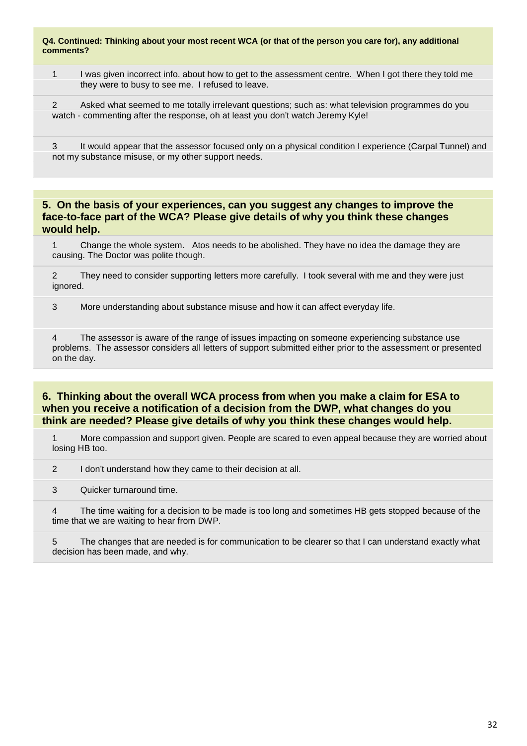#### **Q4. Continued: Thinking about your most recent WCA (or that of the person you care for), any additional comments?**

1 I was given incorrect info. about how to get to the assessment centre. When I got there they told me they were to busy to see me. I refused to leave.

2 Asked what seemed to me totally irrelevant questions; such as: what television programmes do you watch - commenting after the response, oh at least you don't watch Jeremy Kyle!

3 It would appear that the assessor focused only on a physical condition I experience (Carpal Tunnel) and not my substance misuse, or my other support needs.

### **5. On the basis of your experiences, can you suggest any changes to improve the face-to-face part of the WCA? Please give details of why you think these changes would help.**

1 Change the whole system. Atos needs to be abolished. They have no idea the damage they are causing. The Doctor was polite though.

2 They need to consider supporting letters more carefully. I took several with me and they were just ignored.

3 More understanding about substance misuse and how it can affect everyday life.

4 The assessor is aware of the range of issues impacting on someone experiencing substance use problems. The assessor considers all letters of support submitted either prior to the assessment or presented on the day.

### **6. Thinking about the overall WCA process from when you make a claim for ESA to when you receive a notification of a decision from the DWP, what changes do you think are needed? Please give details of why you think these changes would help.**

1 More compassion and support given. People are scared to even appeal because they are worried about losing HB too.

2 I don't understand how they came to their decision at all.

3 Quicker turnaround time.

4 The time waiting for a decision to be made is too long and sometimes HB gets stopped because of the time that we are waiting to hear from DWP.

5 The changes that are needed is for communication to be clearer so that I can understand exactly what decision has been made, and why.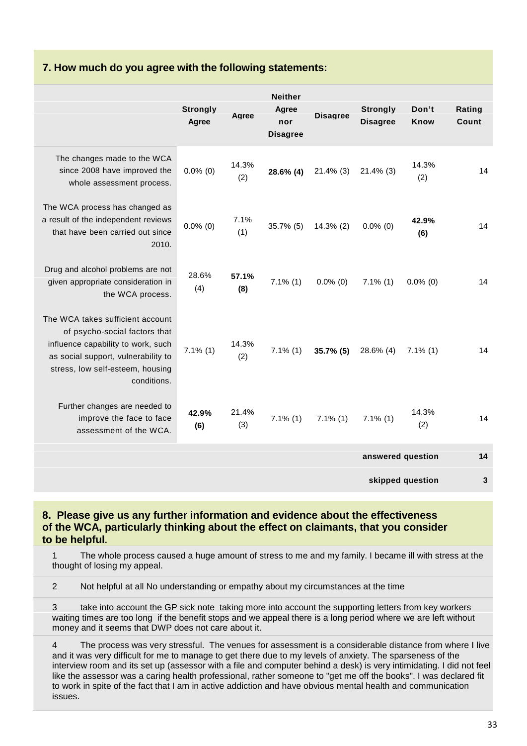## **7. How much do you agree with the following statements:**

|                                                                                                                                                                                                   | <b>Strongly</b><br>Agree | Agree        | <b>Neither</b><br>Agree<br>nor<br><b>Disagree</b> | <b>Disagree</b> | <b>Strongly</b><br><b>Disagree</b> | Don't<br><b>Know</b> | Rating<br>Count |
|---------------------------------------------------------------------------------------------------------------------------------------------------------------------------------------------------|--------------------------|--------------|---------------------------------------------------|-----------------|------------------------------------|----------------------|-----------------|
| The changes made to the WCA<br>since 2008 have improved the<br>whole assessment process.                                                                                                          | $0.0\%$ (0)              | 14.3%<br>(2) | 28.6% (4)                                         | $21.4\%$ (3)    | $21.4\%$ (3)                       | 14.3%<br>(2)         | 14              |
| The WCA process has changed as<br>a result of the independent reviews<br>that have been carried out since<br>2010.                                                                                | $0.0\%$ (0)              | 7.1%<br>(1)  | $35.7\%$ (5)                                      | $14.3\%$ (2)    | $0.0\%$ (0)                        | 42.9%<br>(6)         | 14              |
| Drug and alcohol problems are not<br>given appropriate consideration in<br>the WCA process.                                                                                                       | 28.6%<br>(4)             | 57.1%<br>(8) | $7.1\%$ (1)                                       | $0.0\%$ (0)     | $7.1\%$ (1)                        | $0.0\%$ (0)          | 14              |
| The WCA takes sufficient account<br>of psycho-social factors that<br>influence capability to work, such<br>as social support, vulnerability to<br>stress, low self-esteem, housing<br>conditions. | $7.1\%$ (1)              | 14.3%<br>(2) | $7.1\%$ (1)                                       | 35.7% (5)       | 28.6% (4)                          | $7.1\%$ (1)          | 14              |
| Further changes are needed to<br>improve the face to face<br>assessment of the WCA.                                                                                                               | 42.9%<br>(6)             | 21.4%<br>(3) | $7.1\%$ (1)                                       | $7.1\%$ (1)     | $7.1\%$ (1)                        | 14.3%<br>(2)         | 14              |
|                                                                                                                                                                                                   |                          |              |                                                   |                 | answered question                  |                      | 14              |
|                                                                                                                                                                                                   |                          |              |                                                   |                 |                                    | skipped question     | 3               |

### **8. Please give us any further information and evidence about the effectiveness of the WCA, particularly thinking about the effect on claimants, that you consider to be helpful.**

1 The whole process caused a huge amount of stress to me and my family. I became ill with stress at the thought of losing my appeal.

2 Not helpful at all No understanding or empathy about my circumstances at the time

3 take into account the GP sick note taking more into account the supporting letters from key workers waiting times are too long if the benefit stops and we appeal there is a long period where we are left without money and it seems that DWP does not care about it.

4 The process was very stressful. The venues for assessment is a considerable distance from where I live and it was very difficult for me to manage to get there due to my levels of anxiety. The sparseness of the interview room and its set up (assessor with a file and computer behind a desk) is very intimidating. I did not feel like the assessor was a caring health professional, rather someone to "get me off the books". I was declared fit to work in spite of the fact that I am in active addiction and have obvious mental health and communication issues.